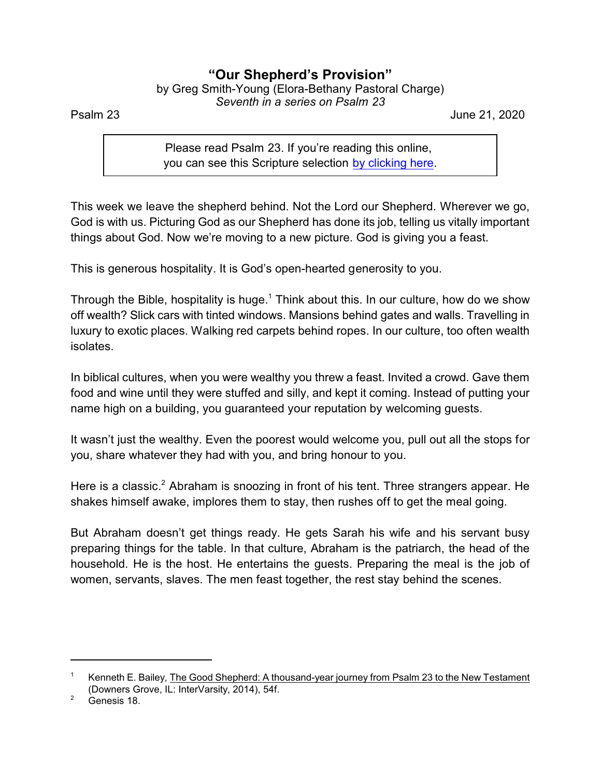## **"Our Shepherd's Provision"**

by Greg Smith-Young (Elora-Bethany Pastoral Charge) *Seventh in a series on Psalm 23*

Psalm 23 June 21, 2020

Please read Psalm 23. If you're reading this online, you can see this Scripture selection [by clicking here](https://www.biblegateway.com/passage/?search=Psalm+23&version=MSG).

This week we leave the shepherd behind. Not the Lord our Shepherd. Wherever we go, God is with us. Picturing God as our Shepherd has done its job, telling us vitally important things about God. Now we're moving to a new picture. God is giving you a feast.

This is generous hospitality. It is God's open-hearted generosity to you.

Through the Bible, hospitality is huge.<sup>1</sup> Think about this. In our culture, how do we show off wealth? Slick cars with tinted windows. Mansions behind gates and walls. Travelling in luxury to exotic places. Walking red carpets behind ropes. In our culture, too often wealth isolates.

In biblical cultures, when you were wealthy you threw a feast. Invited a crowd. Gave them food and wine until they were stuffed and silly, and kept it coming. Instead of putting your name high on a building, you guaranteed your reputation by welcoming guests.

It wasn't just the wealthy. Even the poorest would welcome you, pull out all the stops for you, share whatever they had with you, and bring honour to you.

Here is a classic.<sup>2</sup> Abraham is snoozing in front of his tent. Three strangers appear. He shakes himself awake, implores them to stay, then rushes off to get the meal going.

But Abraham doesn't get things ready. He gets Sarah his wife and his servant busy preparing things for the table. In that culture, Abraham is the patriarch, the head of the household. He is the host. He entertains the guests. Preparing the meal is the job of women, servants, slaves. The men feast together, the rest stay behind the scenes.

Kenneth E. Bailey, The Good Shepherd: A thousand-year journey from Psalm 23 to the New Testament (Downers Grove, IL: InterVarsity, 2014), 54f.

<sup>&</sup>lt;sup>2</sup> Genesis 18.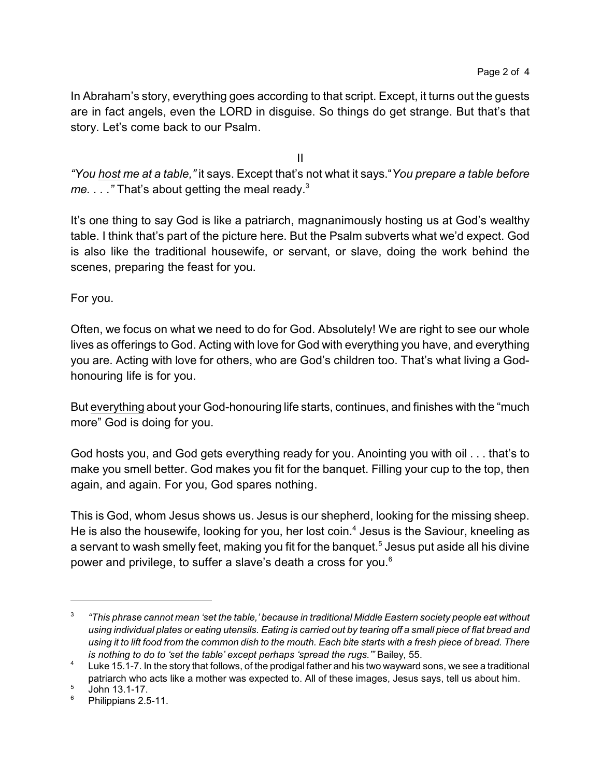In Abraham's story, everything goes according to that script. Except, it turns out the guests are in fact angels, even the LORD in disguise. So things do get strange. But that's that story. Let's come back to our Psalm.

II

*"You host me at a table,"* it says. Except that's not what it says."*You prepare a table before me. . . ."* That's about getting the meal ready. 3

It's one thing to say God is like a patriarch, magnanimously hosting us at God's wealthy table. I think that's part of the picture here. But the Psalm subverts what we'd expect. God is also like the traditional housewife, or servant, or slave, doing the work behind the scenes, preparing the feast for you.

For you.

Often, we focus on what we need to do for God. Absolutely! We are right to see our whole lives as offerings to God. Acting with love for God with everything you have, and everything you are. Acting with love for others, who are God's children too. That's what living a Godhonouring life is for you.

But everything about your God-honouring life starts, continues, and finishes with the "much more" God is doing for you.

God hosts you, and God gets everything ready for you. Anointing you with oil . . . that's to make you smell better. God makes you fit for the banquet. Filling your cup to the top, then again, and again. For you, God spares nothing.

This is God, whom Jesus shows us. Jesus is our shepherd, looking for the missing sheep. He is also the housewife, looking for you, her lost coin.<sup>4</sup> Jesus is the Saviour, kneeling as a servant to wash smelly feet, making you fit for the banquet.<sup>5</sup> Jesus put aside all his divine power and privilege, to suffer a slave's death a cross for you.<sup>6</sup>

<sup>3</sup> *"This phrase cannot mean 'set the table,' because in traditional Middle Eastern society people eat without using individual plates or eating utensils. Eating is carried out by tearing off a small piece of flat bread and using it to lift food from the common dish to the mouth. Each bite starts with a fresh piece of bread. There is nothing to do to 'set the table' except perhaps 'spread the rugs.'"* Bailey, 55.

<sup>4</sup> Luke 15.1-7. In the story that follows, of the prodigal father and his two wayward sons, we see a traditional patriarch who acts like a mother was expected to. All of these images, Jesus says, tell us about him.

<sup>5</sup> John 13.1-17.

<sup>6</sup> Philippians 2.5-11.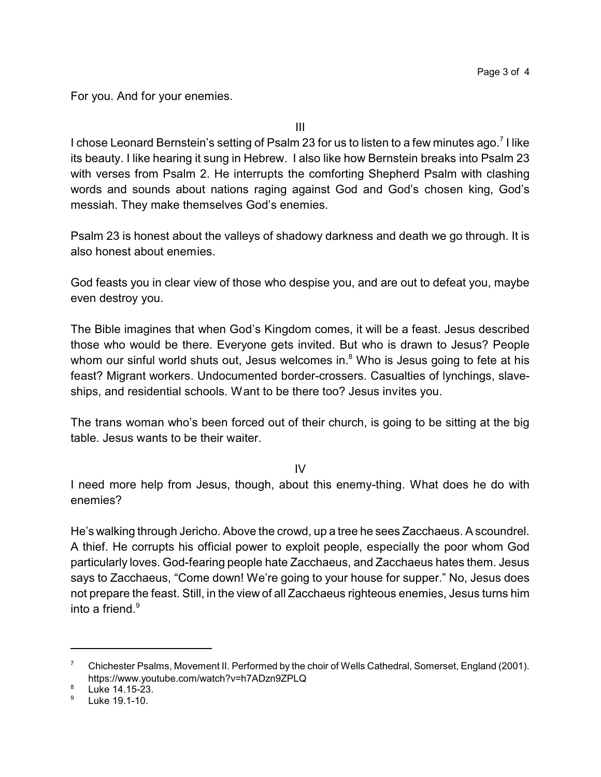For you. And for your enemies.

III

I chose Leonard Bernstein's setting of Psalm 23 for us to listen to a few minutes ago.<sup>7</sup> I like its beauty. I like hearing it sung in Hebrew. I also like how Bernstein breaks into Psalm 23 with verses from Psalm 2. He interrupts the comforting Shepherd Psalm with clashing words and sounds about nations raging against God and God's chosen king, God's messiah. They make themselves God's enemies.

Psalm 23 is honest about the valleys of shadowy darkness and death we go through. It is also honest about enemies.

God feasts you in clear view of those who despise you, and are out to defeat you, maybe even destroy you.

The Bible imagines that when God's Kingdom comes, it will be a feast. Jesus described those who would be there. Everyone gets invited. But who is drawn to Jesus? People whom our sinful world shuts out, Jesus welcomes in. $8$  Who is Jesus going to fete at his feast? Migrant workers. Undocumented border-crossers. Casualties of lynchings, slaveships, and residential schools. Want to be there too? Jesus invites you.

The trans woman who's been forced out of their church, is going to be sitting at the big table. Jesus wants to be their waiter.

IV

I need more help from Jesus, though, about this enemy-thing. What does he do with enemies?

He's walking through Jericho. Above the crowd, up a tree he sees Zacchaeus. A scoundrel. A thief. He corrupts his official power to exploit people, especially the poor whom God particularly loves. God-fearing people hate Zacchaeus, and Zacchaeus hates them. Jesus says to Zacchaeus, "Come down! We're going to your house for supper." No, Jesus does not prepare the feast. Still, in the view of all Zacchaeus righteous enemies, Jesus turns him into a friend. $9$ 

<sup>&</sup>lt;sup>7</sup> Chichester Psalms, Movement II. Performed by the choir of Wells Cathedral, Somerset, England (2001). https://www.youtube.com/watch?v=h7ADzn9ZPLQ

<sup>8</sup> Luke 14.15-23.

<sup>9</sup> Luke 19.1-10.